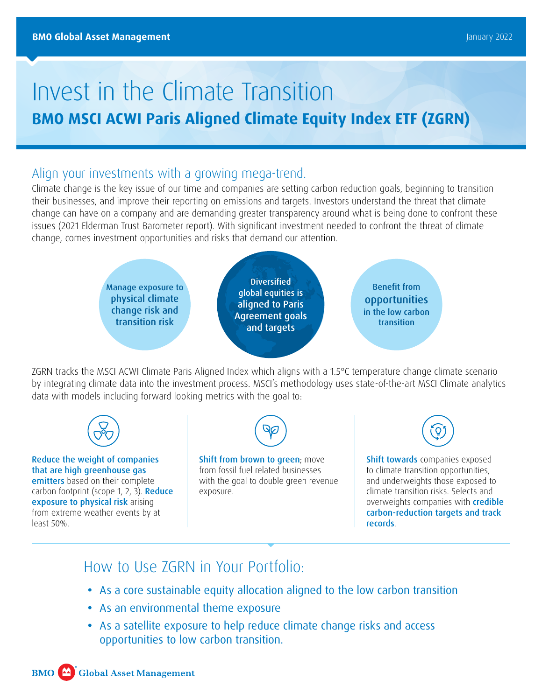# Invest in the Climate Transition **BMO MSCI ACWI Paris Aligned Climate Equity Index ETF (ZGRN)**

### Align your investments with a growing mega-trend.

Climate change is the key issue of our time and companies are setting carbon reduction goals, beginning to transition their businesses, and improve their reporting on emissions and targets. Investors understand the threat that climate change can have on a company and are demanding greater transparency around what is being done to confront these issues (2021 Elderman Trust Barometer report). With significant investment needed to confront the threat of climate change, comes investment opportunities and risks that demand our attention.



ZGRN tracks the MSCI ACWI Climate Paris Aligned Index which aligns with a 1.5°C temperature change climate scenario by integrating climate data into the investment process. MSCI's methodology uses state-of-the-art MSCI Climate analytics data with models including forward looking metrics with the goal to:



Reduce the weight of companies that are high greenhouse gas emitters based on their complete carbon footprint (scope 1, 2, 3). Reduce exposure to physical risk arising from extreme weather events by at least 50%.



Shift from brown to green; move from fossil fuel related businesses with the goal to double green revenue exposure.

Shift towards companies exposed to climate transition opportunities, and underweights those exposed to climate transition risks. Selects and overweights companies with **credible** carbon-reduction targets and track records.

### How to Use ZGRN in Your Portfolio:

- **•** As a core sustainable equity allocation aligned to the low carbon transition
- **•** As an environmental theme exposure
- **•** As a satellite exposure to help reduce climate change risks and access opportunities to low carbon transition.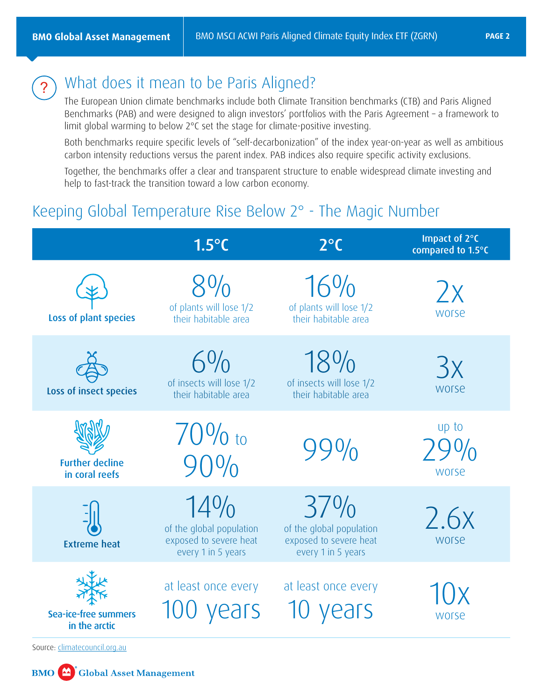

### What does it mean to be Paris Aligned?

The European Union climate benchmarks include both Climate Transition benchmarks (CTB) and Paris Aligned Benchmarks (PAB) and were designed to align investors' portfolios with the Paris Agreement – a framework to limit global warming to below 2°C set the stage for climate-positive investing.

Both benchmarks require specific levels of "self-decarbonization" of the index year-on-year as well as ambitious carbon intensity reductions versus the parent index. PAB indices also require specific activity exclusions.

Together, the benchmarks offer a clear and transparent structure to enable widespread climate investing and help to fast-track the transition toward a low carbon economy.

### Keeping Global Temperature Rise Below 2° - The Magic Number

|                                                                        | $1.5^{\circ}$ C                                                                    | $2^{\circ}$ C                                                                   | Impact of 2°C<br>compared to 1.5°C |
|------------------------------------------------------------------------|------------------------------------------------------------------------------------|---------------------------------------------------------------------------------|------------------------------------|
| Loss of plant species                                                  | $8\%$<br>of plants will lose 1/2<br>their habitable area                           | $16\%$<br>of plants will lose 1/2<br>their habitable area                       | $\chi$<br><b>WOrse</b>             |
| Loss of insect species                                                 | $6\%$<br>of insects will lose 1/2<br>their habitable area                          | 18%<br>of insects will lose 1/2<br>their habitable area                         | 3x<br><b>WOrse</b>                 |
| <b>Further decline</b><br>in coral reefs                               | $70\%$ to<br>$90\%$                                                                |                                                                                 | up to<br><b>WOrse</b>              |
| <b>Extreme heat</b>                                                    | $14\%$<br>of the global population<br>exposed to severe heat<br>every 1 in 5 years | 37%<br>of the global population<br>exposed to severe heat<br>every 1 in 5 years | 2.6x<br><b>WOrse</b>               |
| Sea-ice-free summers<br>in the arctic<br>Source: climatecouncil.org.au | at least once every<br>100 years                                                   | at least once every<br>vears                                                    | <b>WOrse</b>                       |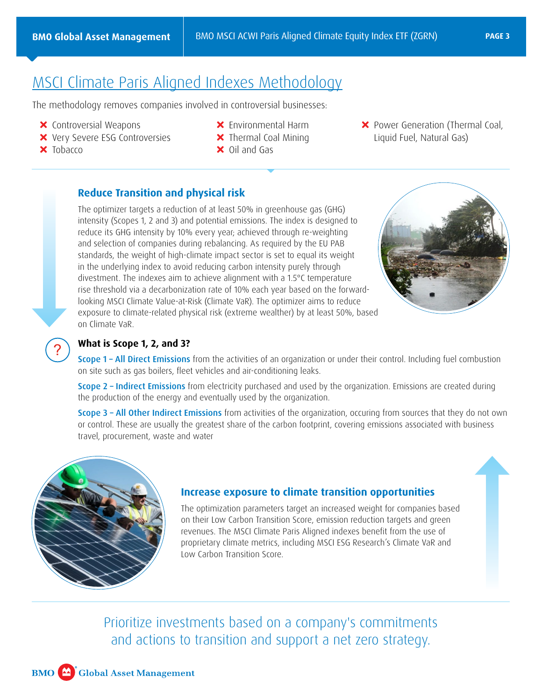## [MSCI Climate Paris Aligned Indexes Methodology](https://www.msci.com/eqb/methodology/meth_docs/MSCI_Climate_Paris_Aligned_Indexes.pdf#:~:text=The%20MSCI%20Climate%20Paris%20Aligned%20Indexes%20are%20designed,Indexes%20following%20an%20optimization-based%20approach%20and%20aim%20to%3A)

The methodology removes companies involved in controversial businesses:

- **X** Controversial Weapons
- **X** Very Severe ESG Controversies
- $\times$  Tobacco

?

- **X** Environmental Harm
- **X** Thermal Coal Mining
- $\times$  Oil and Gas

**X** Power Generation (Thermal Coal, Liquid Fuel, Natural Gas)

#### **Reduce Transition and physical risk**

The optimizer targets a reduction of at least 50% in greenhouse gas (GHG) intensity (Scopes 1, 2 and 3) and potential emissions. The index is designed to reduce its GHG intensity by 10% every year; achieved through re-weighting and selection of companies during rebalancing. As required by the EU PAB standards, the weight of high-climate impact sector is set to equal its weight in the underlying index to avoid reducing carbon intensity purely through divestment. The indexes aim to achieve alignment with a 1.5°C temperature rise threshold via a decarbonization rate of 10% each year based on the forwardlooking MSCI Climate Value-at-Risk (Climate VaR). The optimizer aims to reduce exposure to climate-related physical risk (extreme wealther) by at least 50%, based on Climate VaR.



#### **What is Scope 1, 2, and 3?**

Scope 1 – All Direct Emissions from the activities of an organization or under their control. Including fuel combustion on site such as gas boilers, fleet vehicles and air-conditioning leaks.

Scope 2 - Indirect Emissions from electricity purchased and used by the organization. Emissions are created during the production of the energy and eventually used by the organization.

Scope 3 - All Other Indirect Emissions from activities of the organization, occuring from sources that they do not own or control. These are usually the greatest share of the carbon footprint, covering emissions associated with business travel, procurement, waste and water



#### **Increase exposure to climate transition opportunities**

The optimization parameters target an increased weight for companies based on their Low Carbon Transition Score, emission reduction targets and green revenues. The MSCI Climate Paris Aligned indexes benefit from the use of proprietary climate metrics, including MSCI ESG Research's Climate VaR and Low Carbon Transition Score.

Prioritize investments based on a company's commitments and actions to transition and support a net zero strategy.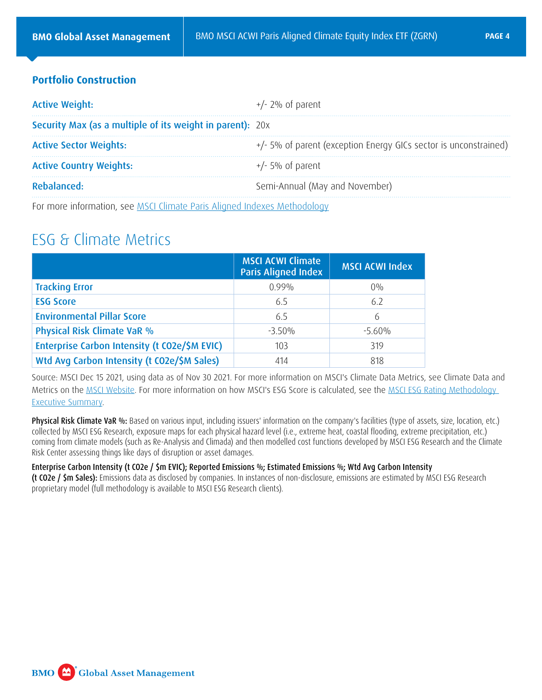#### **Portfolio Construction**

| <b>Active Weight:</b>                                            | $+/- 2\%$ of parent                                                |
|------------------------------------------------------------------|--------------------------------------------------------------------|
| <b>Security Max (as a multiple of its weight in parent):</b> 20x |                                                                    |
| <b>Active Sector Weights:</b>                                    | $+/-$ 5% of parent (exception Energy GICs sector is unconstrained) |
| <b>Active Country Weights:</b>                                   | $+/-$ 5% of parent                                                 |
| Rebalanced:                                                      | Semi-Annual (May and November)                                     |

For more information, see [MSCI Climate Paris Aligned Indexes Methodology](https://www.msci.com/eqb/methodology/meth_docs/MSCI_Climate_Paris_Aligned_Indexes.pdf#:~:text=The%20MSCI%20Climate%20Paris%20Aligned%20Indexes%20are%20designed,Indexes%20following%20an%20optimization-based%20approach%20and%20aim%20to%3A)

### ESG & Climate Metrics

|                                               | <b>MSCI ACWI Climate</b><br><b>Paris Aligned Index</b> | <b>MSCI ACWI Index</b> |
|-----------------------------------------------|--------------------------------------------------------|------------------------|
| <b>Tracking Error</b>                         | $0.99\%$                                               | $0\%$                  |
| <b>ESG Score</b>                              | 6.5                                                    | 6.2                    |
| <b>Environmental Pillar Score</b>             | 6.5                                                    | 6                      |
| Physical Risk Climate VaR %                   | $-3.50\%$                                              | $-5.60\%$              |
| Enterprise Carbon Intensity (t CO2e/\$M EVIC) | 103                                                    | 319                    |
| Wtd Avg Carbon Intensity (t CO2e/\$M Sales)   | 414                                                    | 818                    |

Source: MSCI Dec 15 2021, using data as of Nov 30 2021. For more information on MSCI's Climate Data Metrics, see Climate Data and Metrics on the [MSCI Website.](https://www.msci.com/our-solutions/esg-investing/climate-solutions/climate-data-metrics) For more information on how MSCI's ESG Score is calculated, see the [MSCI ESG Rating Methodology](https://www.msci.com/documents/1296102/21901542/MSCI+ESG+Ratings+Methodology+-+Exec+Summary+Nov+2020.pdf)  [Executive Summary.](https://www.msci.com/documents/1296102/21901542/MSCI+ESG+Ratings+Methodology+-+Exec+Summary+Nov+2020.pdf)

Physical Risk Climate VaR %: Based on various input, including issuers' information on the company's facilities (type of assets, size, location, etc.) collected by MSCI ESG Research, exposure maps for each physical hazard level (i.e., extreme heat, coastal flooding, extreme precipitation, etc.) coming from climate models (such as Re-Analysis and Climada) and then modelled cost functions developed by MSCI ESG Research and the Climate Risk Center assessing things like days of disruption or asset damages.

#### Enterprise Carbon Intensity (t CO2e / \$m EVIC); Reported Emissions %; Estimated Emissions %; Wtd Avg Carbon Intensity

(t CO2e / \$m Sales): Emissions data as disclosed by companies. In instances of non-disclosure, emissions are estimated by MSCI ESG Research proprietary model (full methodology is available to MSCI ESG Research clients).

**BMO** Global Asset Management